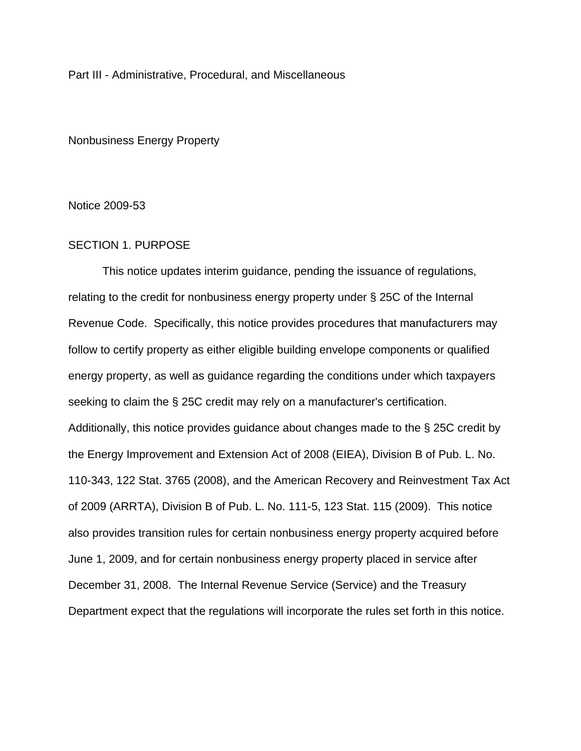Part III - Administrative, Procedural, and Miscellaneous

Nonbusiness Energy Property

Notice 2009-53

## SECTION 1. PURPOSE

This notice updates interim guidance, pending the issuance of regulations, relating to the credit for nonbusiness energy property under § 25C of the Internal Revenue Code. Specifically, this notice provides procedures that manufacturers may follow to certify property as either eligible building envelope components or qualified energy property, as well as guidance regarding the conditions under which taxpayers seeking to claim the § 25C credit may rely on a manufacturer's certification. Additionally, this notice provides guidance about changes made to the § 25C credit by the Energy Improvement and Extension Act of 2008 (EIEA), Division B of Pub. L. No. 110-343, 122 Stat. 3765 (2008), and the American Recovery and Reinvestment Tax Act of 2009 (ARRTA), Division B of Pub. L. No. 111-5, 123 Stat. 115 (2009). This notice also provides transition rules for certain nonbusiness energy property acquired before June 1, 2009, and for certain nonbusiness energy property placed in service after December 31, 2008. The Internal Revenue Service (Service) and the Treasury Department expect that the regulations will incorporate the rules set forth in this notice.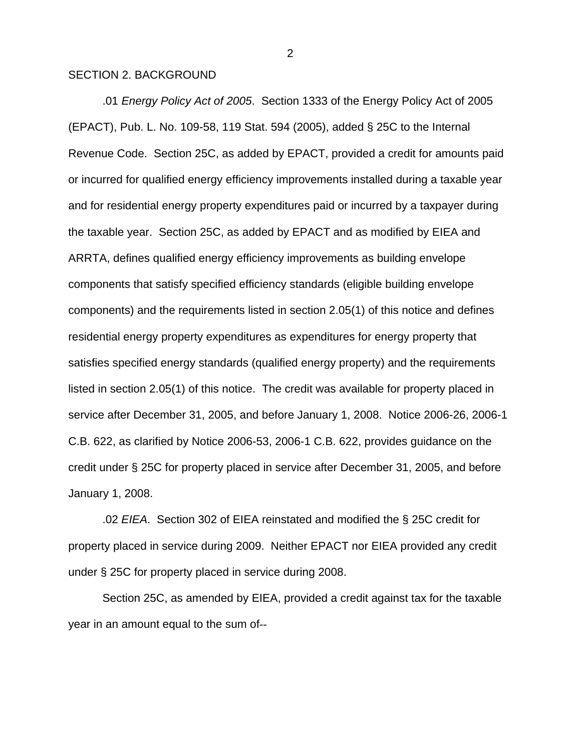### SECTION 2. BACKGROUND

.01 *Energy Policy Act of 2005*. Section 1333 of the Energy Policy Act of 2005 (EPACT), Pub. L. No. 109-58, 119 Stat. 594 (2005), added § 25C to the Internal Revenue Code. Section 25C, as added by EPACT, provided a credit for amounts paid or incurred for qualified energy efficiency improvements installed during a taxable year and for residential energy property expenditures paid or incurred by a taxpayer during the taxable year. Section 25C, as added by EPACT and as modified by EIEA and ARRTA, defines qualified energy efficiency improvements as building envelope components that satisfy specified efficiency standards (eligible building envelope components) and the requirements listed in section 2.05(1) of this notice and defines residential energy property expenditures as expenditures for energy property that satisfies specified energy standards (qualified energy property) and the requirements listed in section 2.05(1) of this notice. The credit was available for property placed in service after December 31, 2005, and before January 1, 2008. Notice 2006-26, 2006-1 C.B. 622, as clarified by Notice 2006-53, 2006-1 C.B. 622, provides guidance on the credit under § 25C for property placed in service after December 31, 2005, and before January 1, 2008.

.02 *EIEA*. Section 302 of EIEA reinstated and modified the § 25C credit for property placed in service during 2009. Neither EPACT nor EIEA provided any credit under § 25C for property placed in service during 2008.

Section 25C, as amended by EIEA, provided a credit against tax for the taxable year in an amount equal to the sum of--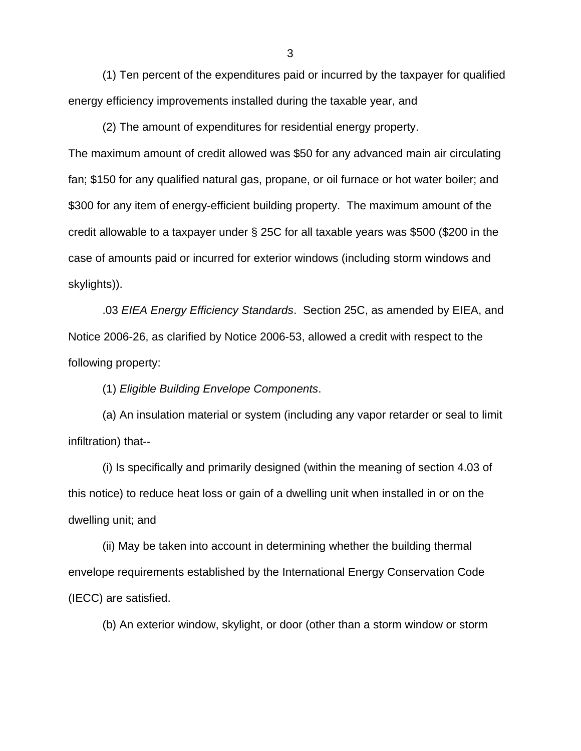(1) Ten percent of the expenditures paid or incurred by the taxpayer for qualified energy efficiency improvements installed during the taxable year, and

(2) The amount of expenditures for residential energy property. The maximum amount of credit allowed was \$50 for any advanced main air circulating fan; \$150 for any qualified natural gas, propane, or oil furnace or hot water boiler; and \$300 for any item of energy-efficient building property. The maximum amount of the credit allowable to a taxpayer under § 25C for all taxable years was \$500 (\$200 in the case of amounts paid or incurred for exterior windows (including storm windows and skylights)).

.03 *EIEA Energy Efficiency Standards*. Section 25C, as amended by EIEA, and Notice 2006-26, as clarified by Notice 2006-53, allowed a credit with respect to the following property:

(1) *Eligible Building Envelope Components*.

(a) An insulation material or system (including any vapor retarder or seal to limit infiltration) that--

(i) Is specifically and primarily designed (within the meaning of section 4.03 of this notice) to reduce heat loss or gain of a dwelling unit when installed in or on the dwelling unit; and

(ii) May be taken into account in determining whether the building thermal envelope requirements established by the International Energy Conservation Code (IECC) are satisfied.

(b) An exterior window, skylight, or door (other than a storm window or storm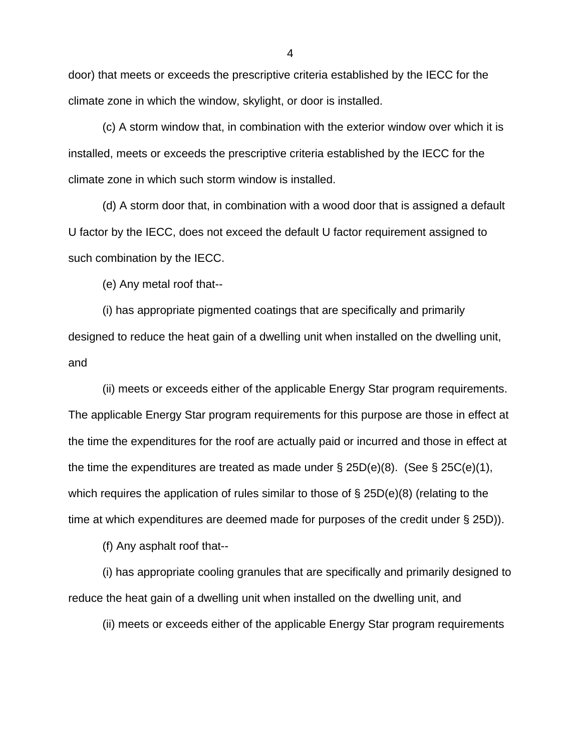door) that meets or exceeds the prescriptive criteria established by the IECC for the climate zone in which the window, skylight, or door is installed.

(c) A storm window that, in combination with the exterior window over which it is installed, meets or exceeds the prescriptive criteria established by the IECC for the climate zone in which such storm window is installed.

(d) A storm door that, in combination with a wood door that is assigned a default U factor by the IECC, does not exceed the default U factor requirement assigned to such combination by the IECC.

(e) Any metal roof that--

(i) has appropriate pigmented coatings that are specifically and primarily designed to reduce the heat gain of a dwelling unit when installed on the dwelling unit, and

(ii) meets or exceeds either of the applicable Energy Star program requirements. The applicable Energy Star program requirements for this purpose are those in effect at the time the expenditures for the roof are actually paid or incurred and those in effect at the time the expenditures are treated as made under  $\S$  25D(e)(8). (See  $\S$  25C(e)(1), which requires the application of rules similar to those of  $\S$  25D(e)(8) (relating to the time at which expenditures are deemed made for purposes of the credit under § 25D)).

(f) Any asphalt roof that--

(i) has appropriate cooling granules that are specifically and primarily designed to reduce the heat gain of a dwelling unit when installed on the dwelling unit, and

(ii) meets or exceeds either of the applicable Energy Star program requirements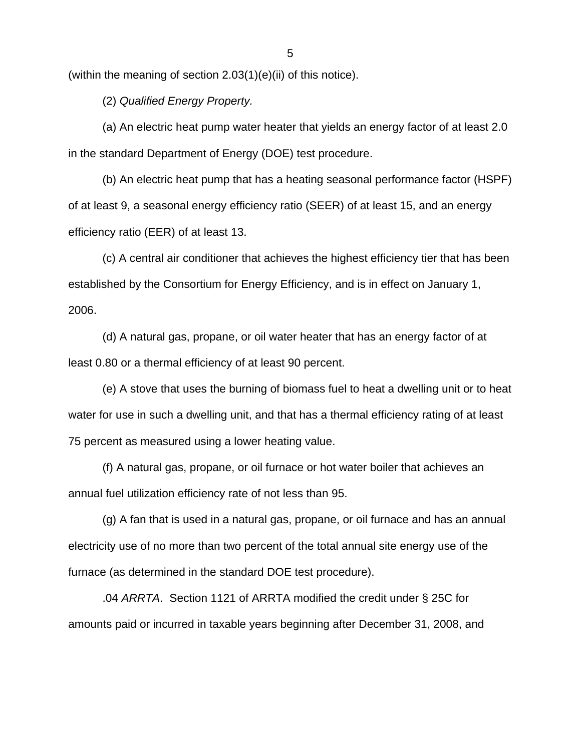(within the meaning of section 2.03(1)(e)(ii) of this notice).

(2) *Qualified Energy Property.*

(a) An electric heat pump water heater that yields an energy factor of at least 2.0 in the standard Department of Energy (DOE) test procedure.

(b) An electric heat pump that has a heating seasonal performance factor (HSPF) of at least 9, a seasonal energy efficiency ratio (SEER) of at least 15, and an energy efficiency ratio (EER) of at least 13.

(c) A central air conditioner that achieves the highest efficiency tier that has been established by the Consortium for Energy Efficiency, and is in effect on January 1, 2006.

(d) A natural gas, propane, or oil water heater that has an energy factor of at least 0.80 or a thermal efficiency of at least 90 percent.

(e) A stove that uses the burning of biomass fuel to heat a dwelling unit or to heat water for use in such a dwelling unit, and that has a thermal efficiency rating of at least 75 percent as measured using a lower heating value.

(f) A natural gas, propane, or oil furnace or hot water boiler that achieves an annual fuel utilization efficiency rate of not less than 95.

(g) A fan that is used in a natural gas, propane, or oil furnace and has an annual electricity use of no more than two percent of the total annual site energy use of the furnace (as determined in the standard DOE test procedure).

.04 *ARRTA*. Section 1121 of ARRTA modified the credit under § 25C for amounts paid or incurred in taxable years beginning after December 31, 2008, and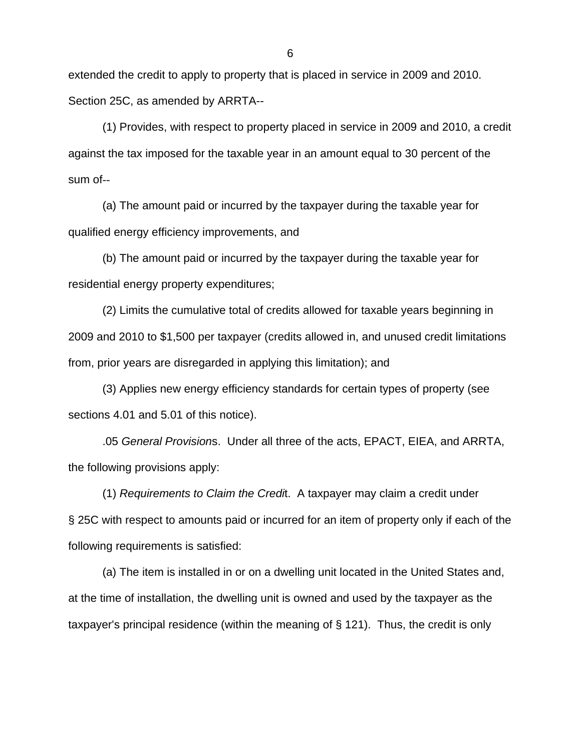extended the credit to apply to property that is placed in service in 2009 and 2010. Section 25C, as amended by ARRTA--

(1) Provides, with respect to property placed in service in 2009 and 2010, a credit against the tax imposed for the taxable year in an amount equal to 30 percent of the sum of--

(a) The amount paid or incurred by the taxpayer during the taxable year for qualified energy efficiency improvements, and

(b) The amount paid or incurred by the taxpayer during the taxable year for residential energy property expenditures;

(2) Limits the cumulative total of credits allowed for taxable years beginning in 2009 and 2010 to \$1,500 per taxpayer (credits allowed in, and unused credit limitations from, prior years are disregarded in applying this limitation); and

(3) Applies new energy efficiency standards for certain types of property (see sections 4.01 and 5.01 of this notice).

.05 *General Provision*s. Under all three of the acts, EPACT, EIEA, and ARRTA, the following provisions apply:

(1) *Requirements to Claim the Credi*t. A taxpayer may claim a credit under § 25C with respect to amounts paid or incurred for an item of property only if each of the following requirements is satisfied:

(a) The item is installed in or on a dwelling unit located in the United States and, at the time of installation, the dwelling unit is owned and used by the taxpayer as the taxpayer's principal residence (within the meaning of § 121). Thus, the credit is only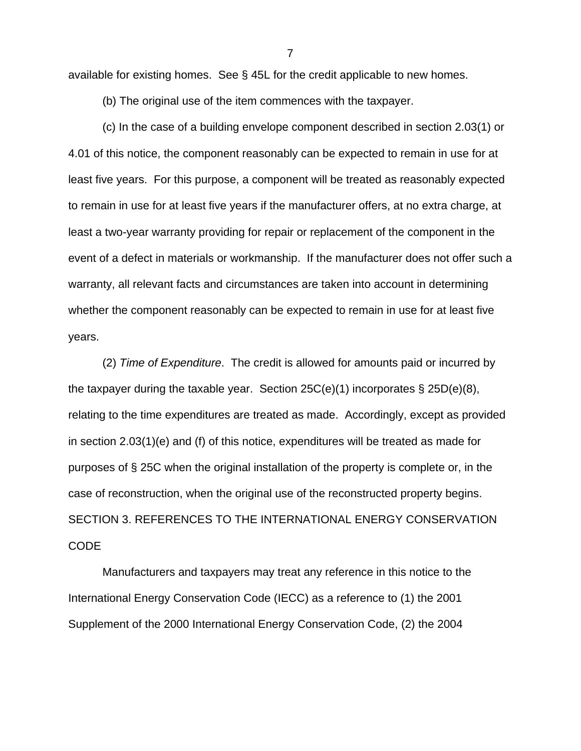available for existing homes. See § 45L for the credit applicable to new homes.

(b) The original use of the item commences with the taxpayer.

(c) In the case of a building envelope component described in section 2.03(1) or 4.01 of this notice, the component reasonably can be expected to remain in use for at least five years. For this purpose, a component will be treated as reasonably expected to remain in use for at least five years if the manufacturer offers, at no extra charge, at least a two-year warranty providing for repair or replacement of the component in the event of a defect in materials or workmanship. If the manufacturer does not offer such a warranty, all relevant facts and circumstances are taken into account in determining whether the component reasonably can be expected to remain in use for at least five years.

(2) *Time of Expenditure*. The credit is allowed for amounts paid or incurred by the taxpayer during the taxable year. Section  $25C(e)(1)$  incorporates §  $25D(e)(8)$ , relating to the time expenditures are treated as made. Accordingly, except as provided in section 2.03(1)(e) and (f) of this notice, expenditures will be treated as made for purposes of § 25C when the original installation of the property is complete or, in the case of reconstruction, when the original use of the reconstructed property begins. SECTION 3. REFERENCES TO THE INTERNATIONAL ENERGY CONSERVATION CODE

Manufacturers and taxpayers may treat any reference in this notice to the International Energy Conservation Code (IECC) as a reference to (1) the 2001 Supplement of the 2000 International Energy Conservation Code, (2) the 2004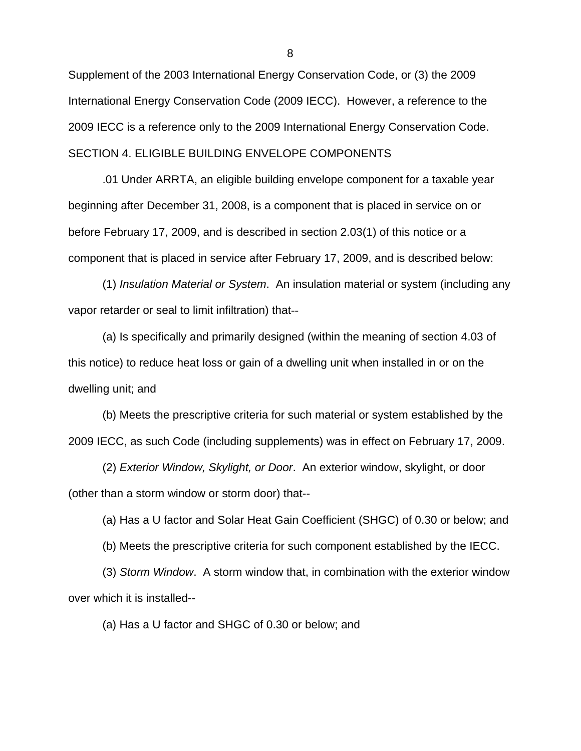Supplement of the 2003 International Energy Conservation Code, or (3) the 2009 International Energy Conservation Code (2009 IECC). However, a reference to the 2009 IECC is a reference only to the 2009 International Energy Conservation Code. SECTION 4. ELIGIBLE BUILDING ENVELOPE COMPONENTS

.01 Under ARRTA, an eligible building envelope component for a taxable year beginning after December 31, 2008, is a component that is placed in service on or before February 17, 2009, and is described in section 2.03(1) of this notice or a component that is placed in service after February 17, 2009, and is described below:

(1) *Insulation Material or System*. An insulation material or system (including any vapor retarder or seal to limit infiltration) that--

(a) Is specifically and primarily designed (within the meaning of section 4.03 of this notice) to reduce heat loss or gain of a dwelling unit when installed in or on the dwelling unit; and

(b) Meets the prescriptive criteria for such material or system established by the 2009 IECC, as such Code (including supplements) was in effect on February 17, 2009.

(2) *Exterior Window, Skylight, or Door*. An exterior window, skylight, or door (other than a storm window or storm door) that--

(a) Has a U factor and Solar Heat Gain Coefficient (SHGC) of 0.30 or below; and

(b) Meets the prescriptive criteria for such component established by the IECC.

(3) *Storm Window*. A storm window that, in combination with the exterior window over which it is installed--

(a) Has a U factor and SHGC of 0.30 or below; and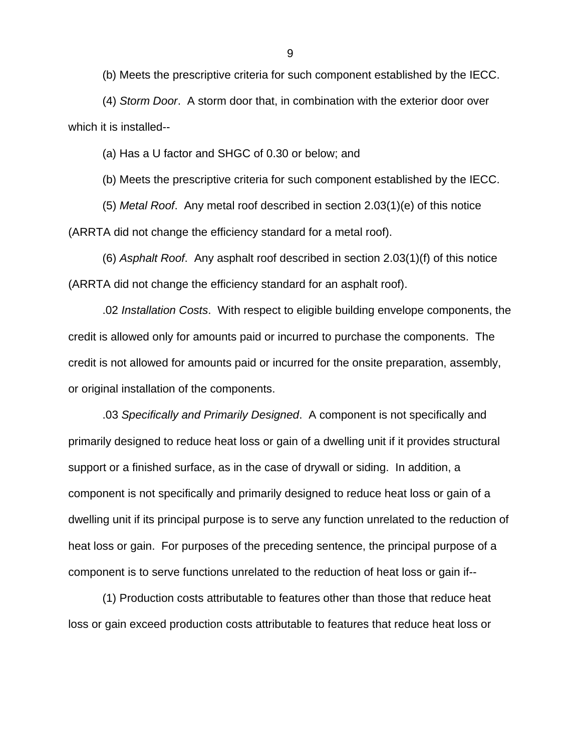(b) Meets the prescriptive criteria for such component established by the IECC.

(4) *Storm Door*. A storm door that, in combination with the exterior door over which it is installed--

(a) Has a U factor and SHGC of 0.30 or below; and

(b) Meets the prescriptive criteria for such component established by the IECC.

(5) *Metal Roof*. Any metal roof described in section 2.03(1)(e) of this notice (ARRTA did not change the efficiency standard for a metal roof).

(6) *Asphalt Roof*. Any asphalt roof described in section 2.03(1)(f) of this notice (ARRTA did not change the efficiency standard for an asphalt roof).

.02 *Installation Costs*. With respect to eligible building envelope components, the credit is allowed only for amounts paid or incurred to purchase the components. The credit is not allowed for amounts paid or incurred for the onsite preparation, assembly, or original installation of the components.

.03 *Specifically and Primarily Designed*. A component is not specifically and primarily designed to reduce heat loss or gain of a dwelling unit if it provides structural support or a finished surface, as in the case of drywall or siding. In addition, a component is not specifically and primarily designed to reduce heat loss or gain of a dwelling unit if its principal purpose is to serve any function unrelated to the reduction of heat loss or gain. For purposes of the preceding sentence, the principal purpose of a component is to serve functions unrelated to the reduction of heat loss or gain if--

(1) Production costs attributable to features other than those that reduce heat loss or gain exceed production costs attributable to features that reduce heat loss or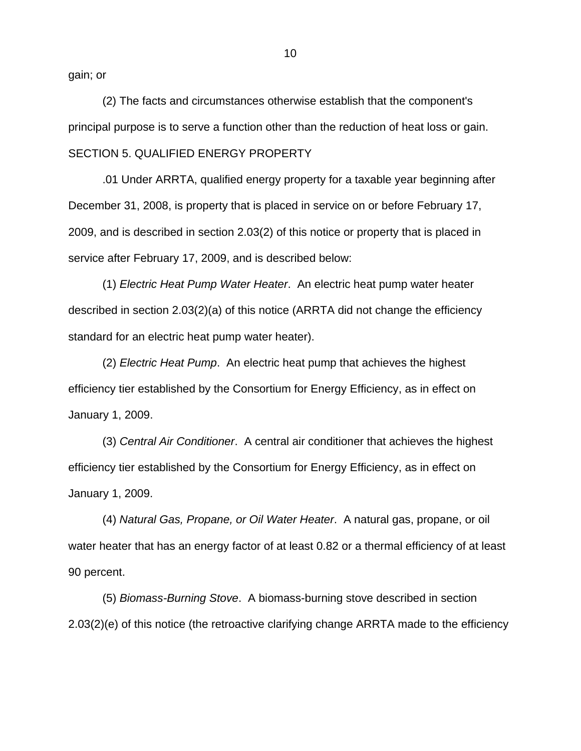gain; or

(2) The facts and circumstances otherwise establish that the component's principal purpose is to serve a function other than the reduction of heat loss or gain. SECTION 5. QUALIFIED ENERGY PROPERTY

.01 Under ARRTA, qualified energy property for a taxable year beginning after December 31, 2008, is property that is placed in service on or before February 17, 2009, and is described in section 2.03(2) of this notice or property that is placed in service after February 17, 2009, and is described below:

(1) *Electric Heat Pump Water Heater*. An electric heat pump water heater described in section 2.03(2)(a) of this notice (ARRTA did not change the efficiency standard for an electric heat pump water heater).

(2) *Electric Heat Pump*. An electric heat pump that achieves the highest efficiency tier established by the Consortium for Energy Efficiency, as in effect on January 1, 2009.

(3) *Central Air Conditioner*. A central air conditioner that achieves the highest efficiency tier established by the Consortium for Energy Efficiency, as in effect on January 1, 2009.

(4) *Natural Gas, Propane, or Oil Water Heater*. A natural gas, propane, or oil water heater that has an energy factor of at least 0.82 or a thermal efficiency of at least 90 percent.

(5) *Biomass-Burning Stove*. A biomass-burning stove described in section 2.03(2)(e) of this notice (the retroactive clarifying change ARRTA made to the efficiency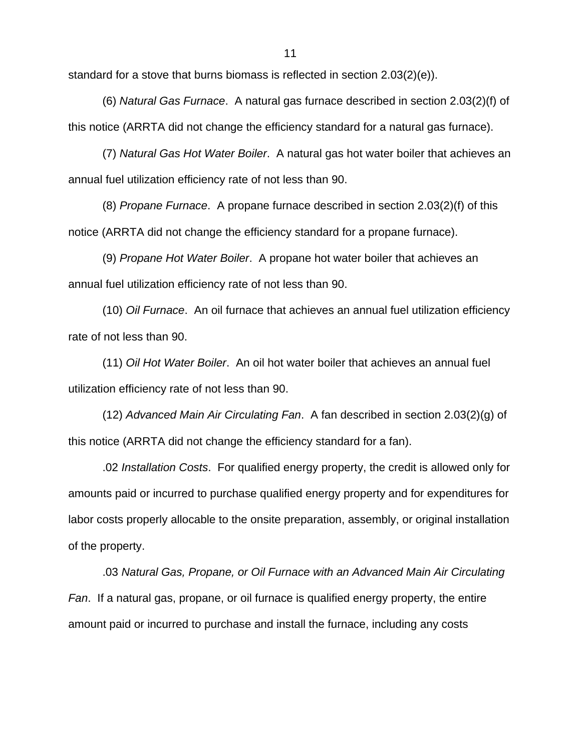standard for a stove that burns biomass is reflected in section 2.03(2)(e)).

(6) *Natural Gas Furnace*. A natural gas furnace described in section 2.03(2)(f) of this notice (ARRTA did not change the efficiency standard for a natural gas furnace).

(7) *Natural Gas Hot Water Boiler*. A natural gas hot water boiler that achieves an annual fuel utilization efficiency rate of not less than 90.

(8) *Propane Furnace*. A propane furnace described in section 2.03(2)(f) of this notice (ARRTA did not change the efficiency standard for a propane furnace).

(9) *Propane Hot Water Boiler*. A propane hot water boiler that achieves an annual fuel utilization efficiency rate of not less than 90.

(10) *Oil Furnace*. An oil furnace that achieves an annual fuel utilization efficiency rate of not less than 90.

(11) *Oil Hot Water Boiler*. An oil hot water boiler that achieves an annual fuel utilization efficiency rate of not less than 90.

(12) *Advanced Main Air Circulating Fan*. A fan described in section 2.03(2)(g) of this notice (ARRTA did not change the efficiency standard for a fan).

.02 *Installation Costs*. For qualified energy property, the credit is allowed only for amounts paid or incurred to purchase qualified energy property and for expenditures for labor costs properly allocable to the onsite preparation, assembly, or original installation of the property.

.03 *Natural Gas, Propane, or Oil Furnace with an Advanced Main Air Circulating Fan*. If a natural gas, propane, or oil furnace is qualified energy property, the entire amount paid or incurred to purchase and install the furnace, including any costs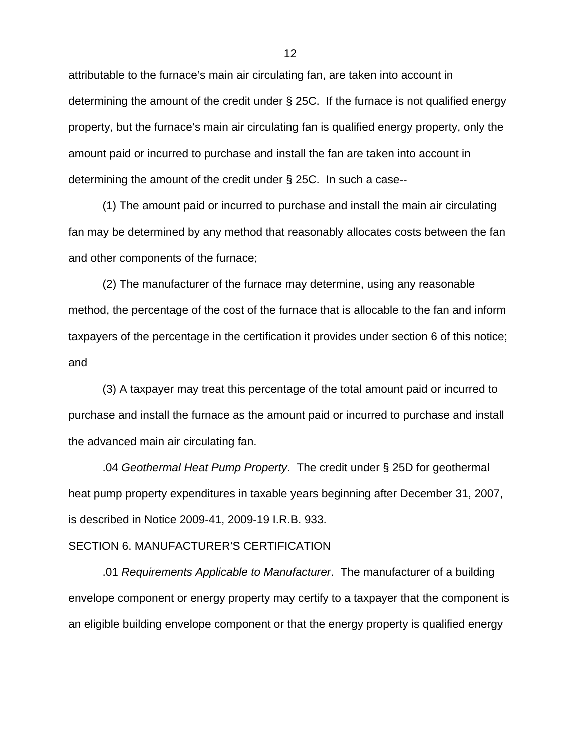attributable to the furnace's main air circulating fan, are taken into account in determining the amount of the credit under § 25C. If the furnace is not qualified energy property, but the furnace's main air circulating fan is qualified energy property, only the amount paid or incurred to purchase and install the fan are taken into account in determining the amount of the credit under § 25C. In such a case--

(1) The amount paid or incurred to purchase and install the main air circulating fan may be determined by any method that reasonably allocates costs between the fan and other components of the furnace;

(2) The manufacturer of the furnace may determine, using any reasonable method, the percentage of the cost of the furnace that is allocable to the fan and inform taxpayers of the percentage in the certification it provides under section 6 of this notice; and

(3) A taxpayer may treat this percentage of the total amount paid or incurred to purchase and install the furnace as the amount paid or incurred to purchase and install the advanced main air circulating fan.

.04 *Geothermal Heat Pump Property*. The credit under § 25D for geothermal heat pump property expenditures in taxable years beginning after December 31, 2007, is described in Notice 2009-41, 2009-19 I.R.B. 933.

### SECTION 6. MANUFACTURER'S CERTIFICATION

.01 *Requirements Applicable to Manufacturer*. The manufacturer of a building envelope component or energy property may certify to a taxpayer that the component is an eligible building envelope component or that the energy property is qualified energy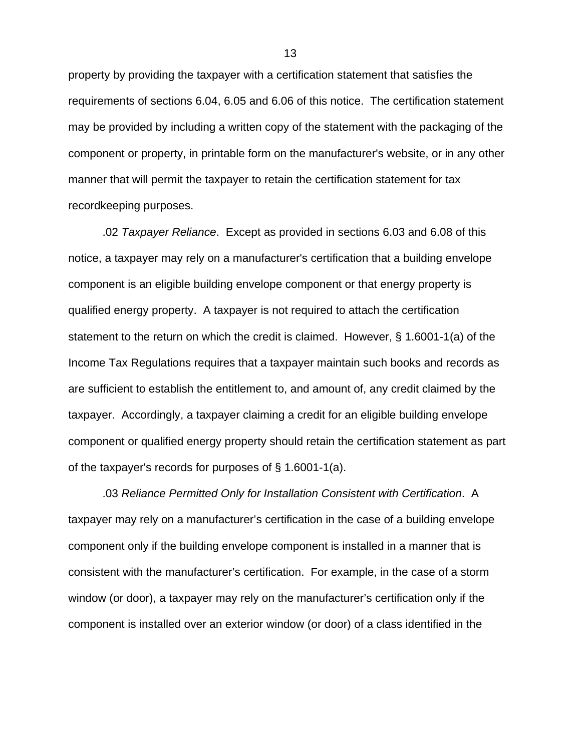property by providing the taxpayer with a certification statement that satisfies the requirements of sections 6.04, 6.05 and 6.06 of this notice. The certification statement may be provided by including a written copy of the statement with the packaging of the component or property, in printable form on the manufacturer's website, or in any other manner that will permit the taxpayer to retain the certification statement for tax recordkeeping purposes.

.02 *Taxpayer Reliance*. Except as provided in sections 6.03 and 6.08 of this notice, a taxpayer may rely on a manufacturer's certification that a building envelope component is an eligible building envelope component or that energy property is qualified energy property. A taxpayer is not required to attach the certification statement to the return on which the credit is claimed. However, § 1.6001-1(a) of the Income Tax Regulations requires that a taxpayer maintain such books and records as are sufficient to establish the entitlement to, and amount of, any credit claimed by the taxpayer. Accordingly, a taxpayer claiming a credit for an eligible building envelope component or qualified energy property should retain the certification statement as part of the taxpayer's records for purposes of § 1.6001-1(a).

.03 *Reliance Permitted Only for Installation Consistent with Certification*. A taxpayer may rely on a manufacturer's certification in the case of a building envelope component only if the building envelope component is installed in a manner that is consistent with the manufacturer's certification. For example, in the case of a storm window (or door), a taxpayer may rely on the manufacturer's certification only if the component is installed over an exterior window (or door) of a class identified in the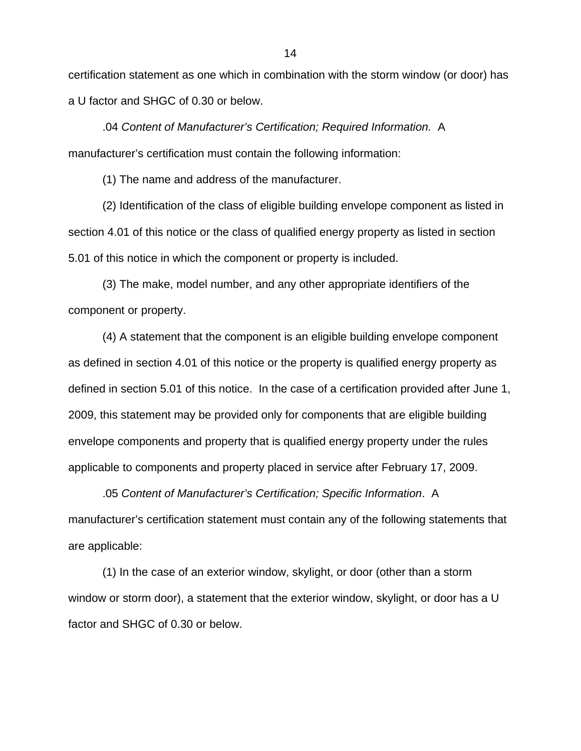certification statement as one which in combination with the storm window (or door) has a U factor and SHGC of 0.30 or below.

.04 *Content of Manufacturer's Certification; Required Information.* A manufacturer's certification must contain the following information:

(1) The name and address of the manufacturer.

(2) Identification of the class of eligible building envelope component as listed in section 4.01 of this notice or the class of qualified energy property as listed in section 5.01 of this notice in which the component or property is included.

(3) The make, model number, and any other appropriate identifiers of the component or property.

(4) A statement that the component is an eligible building envelope component as defined in section 4.01 of this notice or the property is qualified energy property as defined in section 5.01 of this notice. In the case of a certification provided after June 1, 2009, this statement may be provided only for components that are eligible building envelope components and property that is qualified energy property under the rules applicable to components and property placed in service after February 17, 2009.

.05 *Content of Manufacturer's Certification; Specific Information*. A manufacturer's certification statement must contain any of the following statements that are applicable:

(1) In the case of an exterior window, skylight, or door (other than a storm window or storm door), a statement that the exterior window, skylight, or door has a U factor and SHGC of 0.30 or below.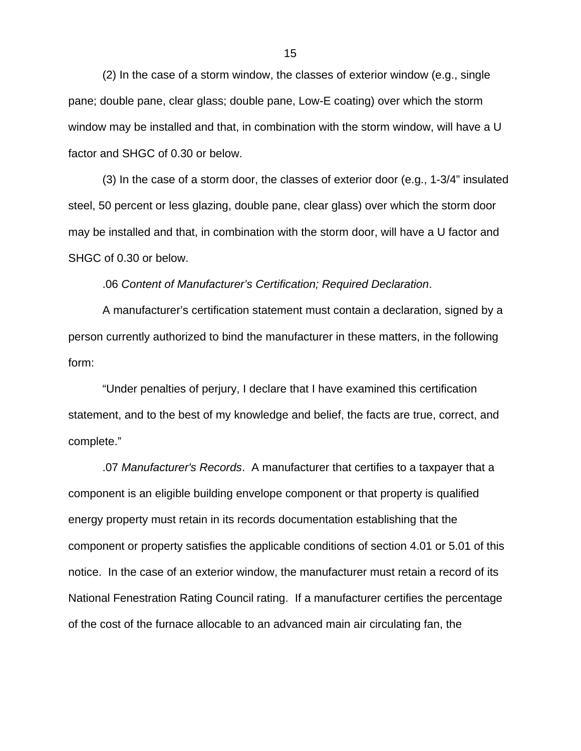(2) In the case of a storm window, the classes of exterior window (e.g., single pane; double pane, clear glass; double pane, Low-E coating) over which the storm window may be installed and that, in combination with the storm window, will have a U factor and SHGC of 0.30 or below.

(3) In the case of a storm door, the classes of exterior door (e.g., 1-3/4" insulated steel, 50 percent or less glazing, double pane, clear glass) over which the storm door may be installed and that, in combination with the storm door, will have a U factor and SHGC of 0.30 or below.

.06 *Content of Manufacturer's Certification; Required Declaration*.

A manufacturer's certification statement must contain a declaration, signed by a person currently authorized to bind the manufacturer in these matters, in the following form:

"Under penalties of perjury, I declare that I have examined this certification statement, and to the best of my knowledge and belief, the facts are true, correct, and complete."

.07 *Manufacturer's Records*. A manufacturer that certifies to a taxpayer that a component is an eligible building envelope component or that property is qualified energy property must retain in its records documentation establishing that the component or property satisfies the applicable conditions of section 4.01 or 5.01 of this notice. In the case of an exterior window, the manufacturer must retain a record of its National Fenestration Rating Council rating. If a manufacturer certifies the percentage of the cost of the furnace allocable to an advanced main air circulating fan, the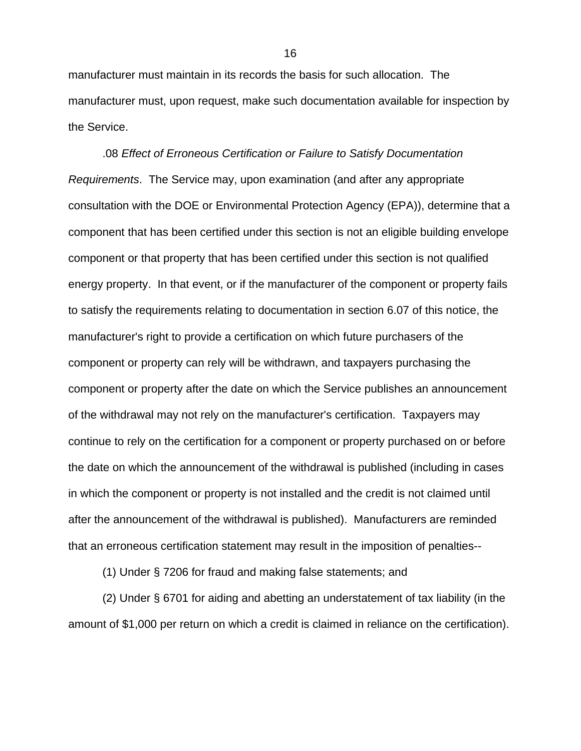manufacturer must maintain in its records the basis for such allocation. The manufacturer must, upon request, make such documentation available for inspection by the Service.

.08 *Effect of Erroneous Certification or Failure to Satisfy Documentation Requirements*. The Service may, upon examination (and after any appropriate consultation with the DOE or Environmental Protection Agency (EPA)), determine that a component that has been certified under this section is not an eligible building envelope component or that property that has been certified under this section is not qualified energy property. In that event, or if the manufacturer of the component or property fails to satisfy the requirements relating to documentation in section 6.07 of this notice, the manufacturer's right to provide a certification on which future purchasers of the component or property can rely will be withdrawn, and taxpayers purchasing the component or property after the date on which the Service publishes an announcement of the withdrawal may not rely on the manufacturer's certification. Taxpayers may continue to rely on the certification for a component or property purchased on or before the date on which the announcement of the withdrawal is published (including in cases in which the component or property is not installed and the credit is not claimed until after the announcement of the withdrawal is published). Manufacturers are reminded that an erroneous certification statement may result in the imposition of penalties--

(1) Under § 7206 for fraud and making false statements; and

(2) Under § 6701 for aiding and abetting an understatement of tax liability (in the amount of \$1,000 per return on which a credit is claimed in reliance on the certification).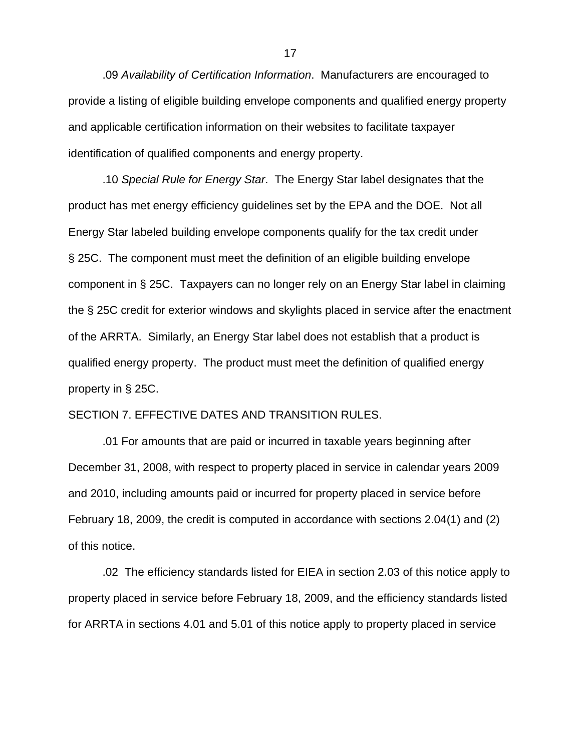.09 *Availability of Certification Information*. Manufacturers are encouraged to provide a listing of eligible building envelope components and qualified energy property and applicable certification information on their websites to facilitate taxpayer identification of qualified components and energy property.

.10 *Special Rule for Energy Star*. The Energy Star label designates that the product has met energy efficiency guidelines set by the EPA and the DOE. Not all Energy Star labeled building envelope components qualify for the tax credit under § 25C. The component must meet the definition of an eligible building envelope component in § 25C. Taxpayers can no longer rely on an Energy Star label in claiming the § 25C credit for exterior windows and skylights placed in service after the enactment of the ARRTA. Similarly, an Energy Star label does not establish that a product is qualified energy property. The product must meet the definition of qualified energy property in § 25C.

# SECTION 7. EFFECTIVE DATES AND TRANSITION RULES.

.01 For amounts that are paid or incurred in taxable years beginning after December 31, 2008, with respect to property placed in service in calendar years 2009 and 2010, including amounts paid or incurred for property placed in service before February 18, 2009, the credit is computed in accordance with sections 2.04(1) and (2) of this notice.

.02 The efficiency standards listed for EIEA in section 2.03 of this notice apply to property placed in service before February 18, 2009, and the efficiency standards listed for ARRTA in sections 4.01 and 5.01 of this notice apply to property placed in service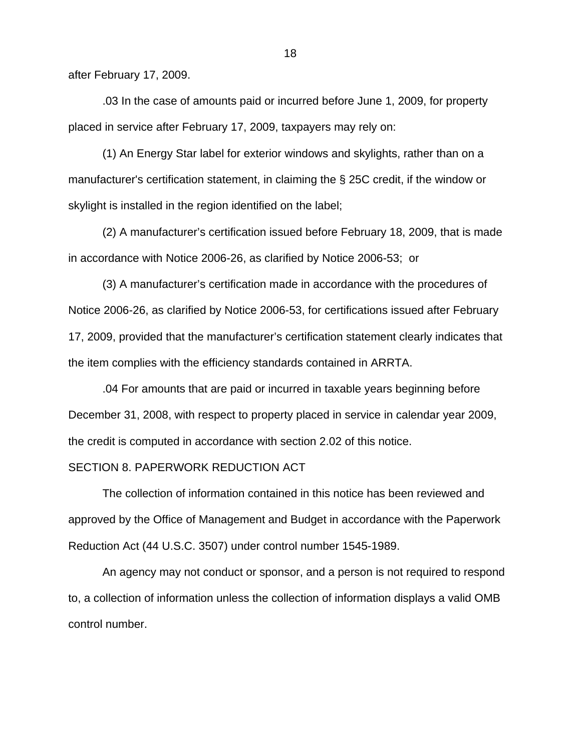after February 17, 2009.

.03 In the case of amounts paid or incurred before June 1, 2009, for property placed in service after February 17, 2009, taxpayers may rely on:

(1) An Energy Star label for exterior windows and skylights, rather than on a manufacturer's certification statement, in claiming the § 25C credit, if the window or skylight is installed in the region identified on the label;

(2) A manufacturer's certification issued before February 18, 2009, that is made in accordance with Notice 2006-26, as clarified by Notice 2006-53; or

(3) A manufacturer's certification made in accordance with the procedures of Notice 2006-26, as clarified by Notice 2006-53, for certifications issued after February 17, 2009, provided that the manufacturer's certification statement clearly indicates that the item complies with the efficiency standards contained in ARRTA.

.04 For amounts that are paid or incurred in taxable years beginning before December 31, 2008, with respect to property placed in service in calendar year 2009, the credit is computed in accordance with section 2.02 of this notice.

## SECTION 8. PAPERWORK REDUCTION ACT

The collection of information contained in this notice has been reviewed and approved by the Office of Management and Budget in accordance with the Paperwork Reduction Act (44 U.S.C. 3507) under control number 1545-1989.

An agency may not conduct or sponsor, and a person is not required to respond to, a collection of information unless the collection of information displays a valid OMB control number.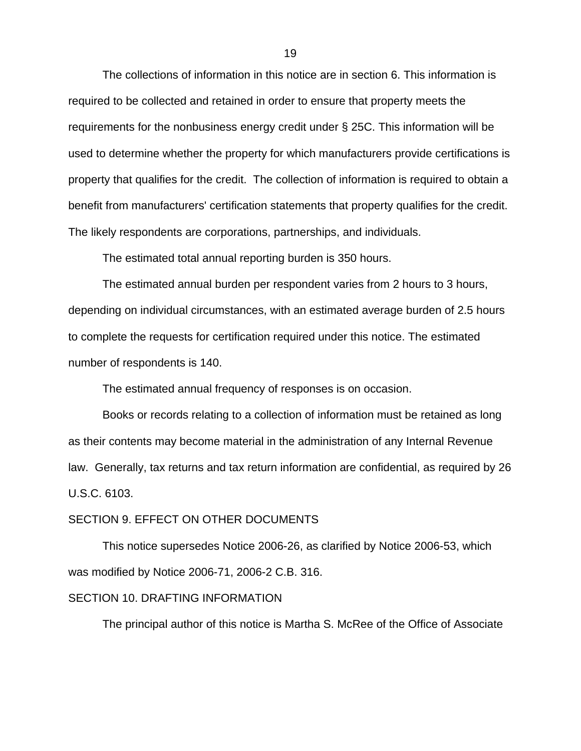The collections of information in this notice are in section 6. This information is required to be collected and retained in order to ensure that property meets the requirements for the nonbusiness energy credit under § 25C. This information will be used to determine whether the property for which manufacturers provide certifications is property that qualifies for the credit. The collection of information is required to obtain a benefit from manufacturers' certification statements that property qualifies for the credit. The likely respondents are corporations, partnerships, and individuals.

The estimated total annual reporting burden is 350 hours.

The estimated annual burden per respondent varies from 2 hours to 3 hours, depending on individual circumstances, with an estimated average burden of 2.5 hours to complete the requests for certification required under this notice. The estimated number of respondents is 140.

The estimated annual frequency of responses is on occasion.

Books or records relating to a collection of information must be retained as long as their contents may become material in the administration of any Internal Revenue law. Generally, tax returns and tax return information are confidential, as required by 26 U.S.C. 6103.

### SECTION 9. EFFECT ON OTHER DOCUMENTS

This notice supersedes Notice 2006-26, as clarified by Notice 2006-53, which was modified by Notice 2006-71, 2006-2 C.B. 316.

## SECTION 10. DRAFTING INFORMATION

The principal author of this notice is Martha S. McRee of the Office of Associate